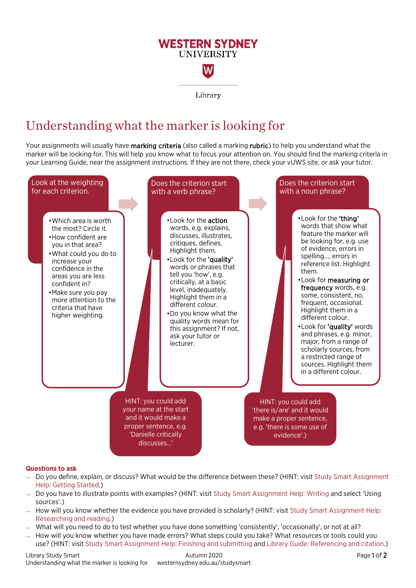## **WESTERN SYDNEY UNIVERSITY** W

Library

## Understanding what the marker is looking for

Your assignments will usually have marking criteria (also called a marking rubric) to help you understand what the marker will be looking for. This will help you know what to focus your attention on. You should find the marking criteria in your Learning Guide, near the assignment instructions. If they are not there, check your vUWS site, or ask your tutor.



## **Questions to ask**

- → Do you define, explain, or discuss? What would be the difference between these? (HINT: visit [Study Smart Assignment](https://westernsydney.edu.au/studysmart/home/self-help_resources/assignment_help/getting_started)  [Help: Getting Started.\)](https://westernsydney.edu.au/studysmart/home/self-help_resources/assignment_help/getting_started)
- → Do you have to illustrate points with examples? (HINT: visit [Study Smart Assignment Help: Writing](https://westernsydney.edu.au/studysmart/home/self-help_resources/assignment_help/writing) and select 'Using sources'.)
- $\rightarrow$  How will you know whether the evidence you have provided is scholarly? (HINT: visit Study Smart Assignment Help: [Researching and reading.\)](https://westernsydney.edu.au/studysmart/home/self-help_resources/assignment_help/researching_and_reading)
- $\rightarrow$  What will you need to do to test whether you have done something 'consistently', 'occasionally', or not at all?
- → How will you know whether you have made errors? What steps could you take? What resources or tools could you use? (HINT: visit [Study Smart Assignment Help: Finishing and submitting](https://westernsydney.edu.au/studysmart/home/self-help_resources/assignment_help/finishing_and_submitting) and [Library Guide: Referencing and citation.\)](https://library.westernsydney.edu.au/main/guides/referencing-citation)